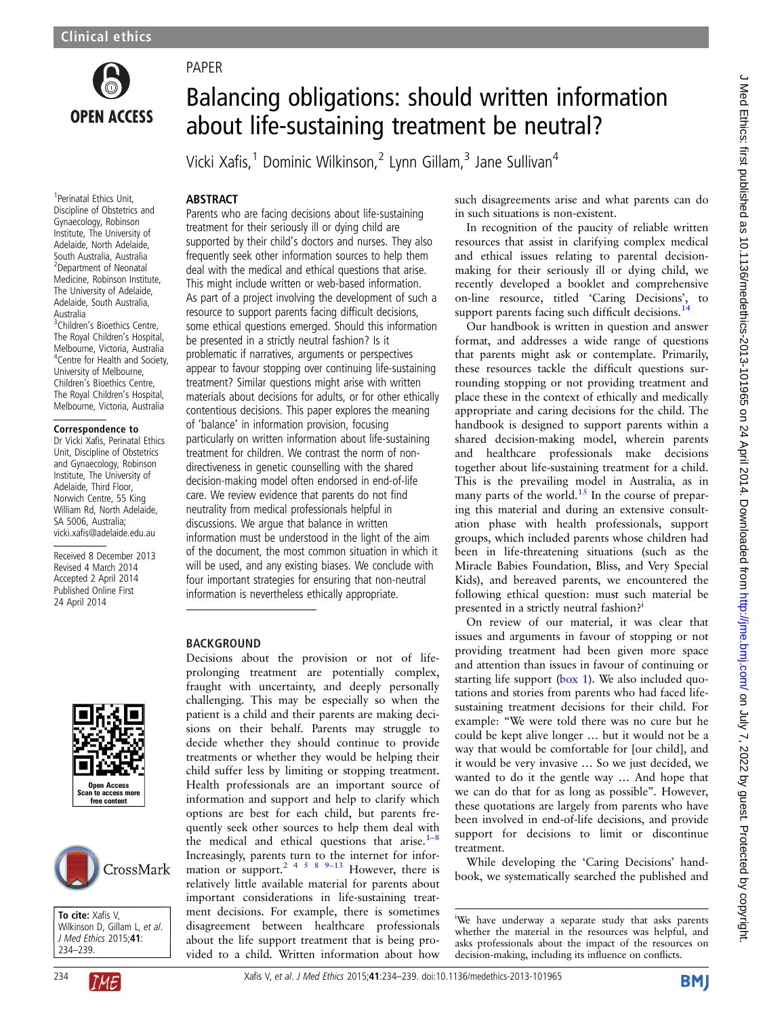

1 Perinatal Ethics Unit, Discipline of Obstetrics and Gynaecology, Robinson Institute, The University of Adelaide, North Adelaide, South Australia, Australia 2 Department of Neonatal Medicine, Robinson Institute, The University of Adelaide, Adelaide, South Australia, Australia

<sup>3</sup>Children's Bioethics Centre, The Royal Children's Hospital, Melbourne, Victoria, Australia 4 Centre for Health and Society, University of Melbourne, Children's Bioethics Centre, The Royal Children's Hospital, Melbourne, Victoria, Australia

#### Correspondence to

Dr Vicki Xafis, Perinatal Ethics Unit, Discipline of Obstetrics and Gynaecology, Robinson Institute, The University of Adelaide, Third Floor, Norwich Centre, 55 King William Rd, North Adelaide, SA 5006, Australia; vicki.xafis@adelaide.edu.au

Received 8 December 2013 Revised 4 March 2014 Accepted 2 April 2014 Published Online First 24 April 2014





To cite: Xafis V, Wilkinson D, Gillam L, et al. J Med Ethics 2015;41: 234–239.



# Balancing obligations: should written information about life-sustaining treatment be neutral?

Vicki Xafis,<sup>1</sup> Dominic Wilkinson,<sup>2</sup> Lynn Gillam,<sup>3</sup> Jane Sullivan<sup>4</sup>

# ABSTRACT

PAPER

Parents who are facing decisions about life-sustaining treatment for their seriously ill or dying child are supported by their child's doctors and nurses. They also frequently seek other information sources to help them deal with the medical and ethical questions that arise. This might include written or web-based information. As part of a project involving the development of such a resource to support parents facing difficult decisions, some ethical questions emerged. Should this information be presented in a strictly neutral fashion? Is it problematic if narratives, arguments or perspectives appear to favour stopping over continuing life-sustaining treatment? Similar questions might arise with written materials about decisions for adults, or for other ethically contentious decisions. This paper explores the meaning of 'balance' in information provision, focusing particularly on written information about life-sustaining treatment for children. We contrast the norm of nondirectiveness in genetic counselling with the shared decision-making model often endorsed in end-of-life care. We review evidence that parents do not find neutrality from medical professionals helpful in discussions. We argue that balance in written information must be understood in the light of the aim of the document, the most common situation in which it will be used, and any existing biases. We conclude with four important strategies for ensuring that non-neutral information is nevertheless ethically appropriate.

#### BACKGROUND

Decisions about the provision or not of lifeprolonging treatment are potentially complex, fraught with uncertainty, and deeply personally challenging. This may be especially so when the patient is a child and their parents are making decisions on their behalf. Parents may struggle to decide whether they should continue to provide treatments or whether they would be helping their child suffer less by limiting or stopping treatment. Health professionals are an important source of information and support and help to clarify which options are best for each child, but parents frequently seek other sources to help them deal with the medical and ethical questions that arise. $1-8$  $1-8$ Increasingly, parents turn to the internet for infor-mation or support.<sup>[2458](#page-4-0)9–[13](#page-4-0)</sup> However, there is relatively little available material for parents about important considerations in life-sustaining treatment decisions. For example, there is sometimes disagreement between healthcare professionals about the life support treatment that is being provided to a child. Written information about how

such disagreements arise and what parents can do in such situations is non-existent.

In recognition of the paucity of reliable written resources that assist in clarifying complex medical and ethical issues relating to parental decisionmaking for their seriously ill or dying child, we recently developed a booklet and comprehensive on-line resource, titled 'Caring Decisions', to support parents facing such difficult decisions.<sup>1</sup>

Our handbook is written in question and answer format, and addresses a wide range of questions that parents might ask or contemplate. Primarily, these resources tackle the difficult questions surrounding stopping or not providing treatment and place these in the context of ethically and medically appropriate and caring decisions for the child. The handbook is designed to support parents within a shared decision-making model, wherein parents and healthcare professionals make decisions together about life-sustaining treatment for a child. This is the prevailing model in Australia, as in many parts of the world.<sup>15</sup> In the course of preparing this material and during an extensive consultation phase with health professionals, support groups, which included parents whose children had been in life-threatening situations (such as the Miracle Babies Foundation, Bliss, and Very Special Kids), and bereaved parents, we encountered the following ethical question: must such material be presented in a strictly neutral fashion?<sup>1</sup>

On review of our material, it was clear that issues and arguments in favour of stopping or not providing treatment had been given more space and attention than issues in favour of continuing or starting life support [\(box 1](#page-1-0)). We also included quotations and stories from parents who had faced lifesustaining treatment decisions for their child. For example: "We were told there was no cure but he could be kept alive longer … but it would not be a way that would be comfortable for [our child], and it would be very invasive … So we just decided, we wanted to do it the gentle way … And hope that we can do that for as long as possible". However, these quotations are largely from parents who have been involved in end-of-life decisions, and provide support for decisions to limit or discontinue treatment.

While developing the 'Caring Decisions' handbook, we systematically searched the published and

<sup>i</sup>We have underway a separate study that asks parents whether the material in the resources was helpful, and asks professionals about the impact of the resources on decision-making, including its influence on conflicts.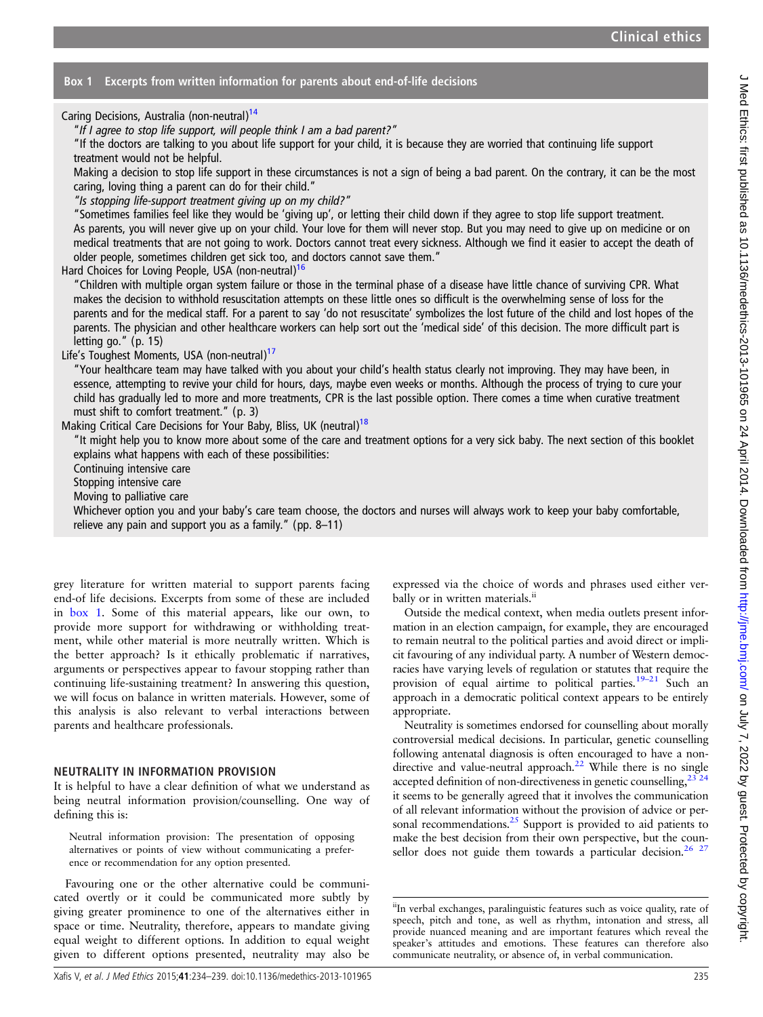# <span id="page-1-0"></span>Box 1 Excerpts from written information for parents about end-of-life decisions

Caring Decisions, Australia (non-neutral)<sup>14</sup>

"If I agree to stop life support, will people think I am a bad parent?"

"If the doctors are talking to you about life support for your child, it is because they are worried that continuing life support treatment would not be helpful.

Making a decision to stop life support in these circumstances is not a sign of being a bad parent. On the contrary, it can be the most caring, loving thing a parent can do for their child."

"Is stopping life-support treatment giving up on my child?"

"Sometimes families feel like they would be 'giving up', or letting their child down if they agree to stop life support treatment. As parents, you will never give up on your child. Your love for them will never stop. But you may need to give up on medicine or on medical treatments that are not going to work. Doctors cannot treat every sickness. Although we find it easier to accept the death of older people, sometimes children get sick too, and doctors cannot save them."

Hard Choices for Loving People, USA (non-neutral)<sup>[16](#page-5-0)</sup>

"Children with multiple organ system failure or those in the terminal phase of a disease have little chance of surviving CPR. What makes the decision to withhold resuscitation attempts on these little ones so difficult is the overwhelming sense of loss for the parents and for the medical staff. For a parent to say 'do not resuscitate' symbolizes the lost future of the child and lost hopes of the parents. The physician and other healthcare workers can help sort out the 'medical side' of this decision. The more difficult part is letting go." (p. 15)

Life's Toughest Moments, USA (non-neutral)<sup>[17](#page-5-0)</sup>

"Your healthcare team may have talked with you about your child's health status clearly not improving. They may have been, in essence, attempting to revive your child for hours, days, maybe even weeks or months. Although the process of trying to cure your child has gradually led to more and more treatments, CPR is the last possible option. There comes a time when curative treatment must shift to comfort treatment." (p. 3)

Making Critical Care Decisions for Your Baby, Bliss, UK (neutral)<sup>[18](#page-5-0)</sup>

"It might help you to know more about some of the care and treatment options for a very sick baby. The next section of this booklet explains what happens with each of these possibilities:

Continuing intensive care

Stopping intensive care

Moving to palliative care

Whichever option you and your baby's care team choose, the doctors and nurses will always work to keep your baby comfortable, relieve any pain and support you as a family." (pp. 8–11)

grey literature for written material to support parents facing end-of life decisions. Excerpts from some of these are included in box 1. Some of this material appears, like our own, to provide more support for withdrawing or withholding treatment, while other material is more neutrally written. Which is the better approach? Is it ethically problematic if narratives, arguments or perspectives appear to favour stopping rather than continuing life-sustaining treatment? In answering this question, we will focus on balance in written materials. However, some of this analysis is also relevant to verbal interactions between parents and healthcare professionals.

### NEUTRALITY IN INFORMATION PROVISION

It is helpful to have a clear definition of what we understand as being neutral information provision/counselling. One way of defining this is:

Neutral information provision: The presentation of opposing alternatives or points of view without communicating a preference or recommendation for any option presented.

Favouring one or the other alternative could be communicated overtly or it could be communicated more subtly by giving greater prominence to one of the alternatives either in space or time. Neutrality, therefore, appears to mandate giving equal weight to different options. In addition to equal weight given to different options presented, neutrality may also be

expressed via the choice of words and phrases used either verbally or in written materials.<sup>ii</sup>

Outside the medical context, when media outlets present information in an election campaign, for example, they are encouraged to remain neutral to the political parties and avoid direct or implicit favouring of any individual party. A number of Western democracies have varying levels of regulation or statutes that require the provision of equal airtime to political parties.<sup>19–21</sup> Such an approach in a democratic political context appears to be entirely appropriate.

Neutrality is sometimes endorsed for counselling about morally controversial medical decisions. In particular, genetic counselling following antenatal diagnosis is often encouraged to have a non-directive and value-neutral approach.<sup>[22](#page-5-0)</sup> While there is no single accepted definition of non-directiveness in genetic counselling,  $2^{324}$ it seems to be generally agreed that it involves the communication of all relevant information without the provision of advice or personal recommendations. $^{25}$  Support is provided to aid patients to make the best decision from their own perspective, but the counsellor does not guide them towards a particular decision.<sup>26 27</sup>

iiIn verbal exchanges, paralinguistic features such as voice quality, rate of speech, pitch and tone, as well as rhythm, intonation and stress, all provide nuanced meaning and are important features which reveal the speaker's attitudes and emotions. These features can therefore also communicate neutrality, or absence of, in verbal communication.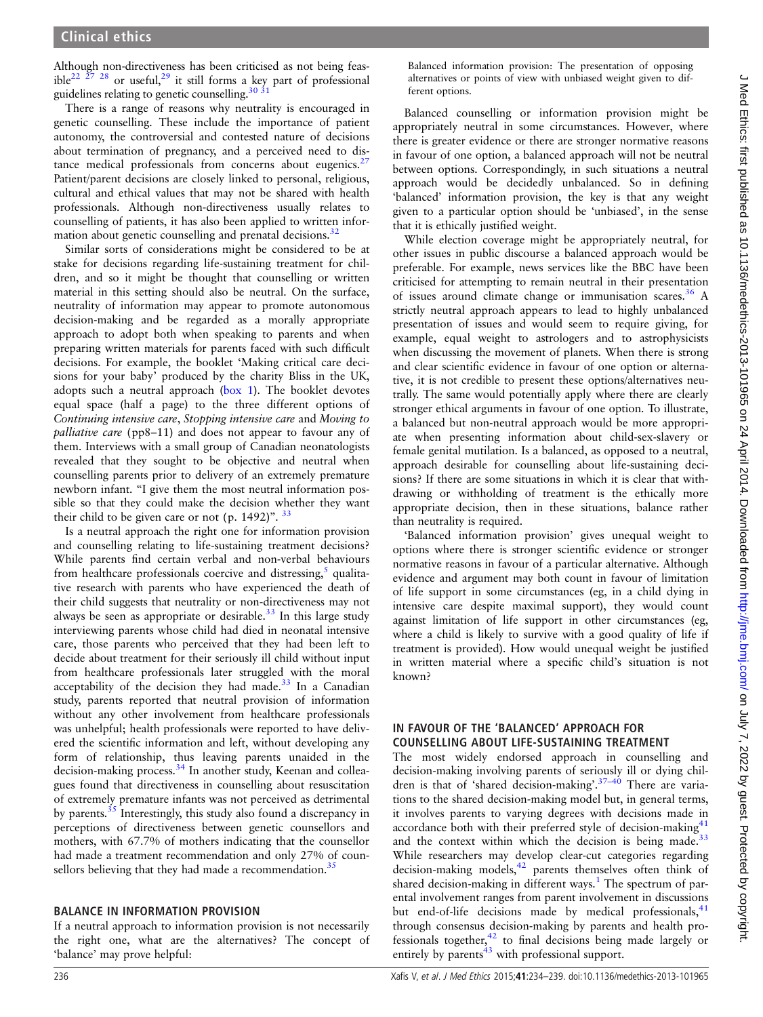Although non-directiveness has been criticised as not being feasible<sup>22  $\frac{27}{27}$  28 or useful,<sup>[29](#page-5-0)</sup> it still forms a key part of professional</sup> guidelines relating to genetic counselling.<sup>30 31</sup>

There is a range of reasons why neutrality is encouraged in genetic counselling. These include the importance of patient autonomy, the controversial and contested nature of decisions about termination of pregnancy, and a perceived need to distance medical professionals from concerns about eugenics.<sup>27</sup> Patient/parent decisions are closely linked to personal, religious, cultural and ethical values that may not be shared with health professionals. Although non-directiveness usually relates to counselling of patients, it has also been applied to written infor-mation about genetic counselling and prenatal decisions.<sup>[32](#page-5-0)</sup>

Similar sorts of considerations might be considered to be at stake for decisions regarding life-sustaining treatment for children, and so it might be thought that counselling or written material in this setting should also be neutral. On the surface, neutrality of information may appear to promote autonomous decision-making and be regarded as a morally appropriate approach to adopt both when speaking to parents and when preparing written materials for parents faced with such difficult decisions. For example, the booklet 'Making critical care decisions for your baby' produced by the charity Bliss in the UK, adopts such a neutral approach ([box 1](#page-1-0)). The booklet devotes equal space (half a page) to the three different options of Continuing intensive care, Stopping intensive care and Moving to palliative care (pp8–11) and does not appear to favour any of them. Interviews with a small group of Canadian neonatologists revealed that they sought to be objective and neutral when counselling parents prior to delivery of an extremely premature newborn infant. "I give them the most neutral information possible so that they could make the decision whether they want their child to be given care or not  $(p. 1492)$ ".  $33$ 

Is a neutral approach the right one for information provision and counselling relating to life-sustaining treatment decisions? While parents find certain verbal and non-verbal behaviours from healthcare professionals coercive and distressing, $\frac{5}{3}$  $\frac{5}{3}$  $\frac{5}{3}$  qualitative research with parents who have experienced the death of their child suggests that neutrality or non-directiveness may not always be seen as appropriate or desirable.<sup>[33](#page-5-0)</sup> In this large study interviewing parents whose child had died in neonatal intensive care, those parents who perceived that they had been left to decide about treatment for their seriously ill child without input from healthcare professionals later struggled with the moral acceptability of the decision they had made.<sup>[33](#page-5-0)</sup> In a Canadian study, parents reported that neutral provision of information without any other involvement from healthcare professionals was unhelpful; health professionals were reported to have delivered the scientific information and left, without developing any form of relationship, thus leaving parents unaided in the decision-making process.<sup>34</sup> In another study, Keenan and colleagues found that directiveness in counselling about resuscitation of extremely premature infants was not perceived as detrimental by parents.<sup>[35](#page-5-0)</sup> Interestingly, this study also found a discrepancy in perceptions of directiveness between genetic counsellors and mothers, with 67.7% of mothers indicating that the counsellor had made a treatment recommendation and only 27% of counsellors believing that they had made a recommendation.<sup>35</sup>

#### BALANCE IN INFORMATION PROVISION

If a neutral approach to information provision is not necessarily the right one, what are the alternatives? The concept of 'balance' may prove helpful:

Balanced information provision: The presentation of opposing alternatives or points of view with unbiased weight given to different options.

Balanced counselling or information provision might be appropriately neutral in some circumstances. However, where there is greater evidence or there are stronger normative reasons in favour of one option, a balanced approach will not be neutral between options. Correspondingly, in such situations a neutral approach would be decidedly unbalanced. So in defining 'balanced' information provision, the key is that any weight given to a particular option should be 'unbiased', in the sense that it is ethically justified weight.

While election coverage might be appropriately neutral, for other issues in public discourse a balanced approach would be preferable. For example, news services like the BBC have been criticised for attempting to remain neutral in their presentation of issues around climate change or immunisation scares.<sup>36</sup> A strictly neutral approach appears to lead to highly unbalanced presentation of issues and would seem to require giving, for example, equal weight to astrologers and to astrophysicists when discussing the movement of planets. When there is strong and clear scientific evidence in favour of one option or alternative, it is not credible to present these options/alternatives neutrally. The same would potentially apply where there are clearly stronger ethical arguments in favour of one option. To illustrate, a balanced but non-neutral approach would be more appropriate when presenting information about child-sex-slavery or female genital mutilation. Is a balanced, as opposed to a neutral, approach desirable for counselling about life-sustaining decisions? If there are some situations in which it is clear that withdrawing or withholding of treatment is the ethically more appropriate decision, then in these situations, balance rather than neutrality is required.

'Balanced information provision' gives unequal weight to options where there is stronger scientific evidence or stronger normative reasons in favour of a particular alternative. Although evidence and argument may both count in favour of limitation of life support in some circumstances (eg, in a child dying in intensive care despite maximal support), they would count against limitation of life support in other circumstances (eg, where a child is likely to survive with a good quality of life if treatment is provided). How would unequal weight be justified in written material where a specific child's situation is not known?

## IN FAVOUR OF THE 'BALANCED' APPROACH FOR COUNSELLING ABOUT LIFE-SUSTAINING TREATMENT

The most widely endorsed approach in counselling and decision-making involving parents of seriously ill or dying chil-dren is that of 'shared decision-making'.<sup>[37](#page-5-0)-40</sup> There are variations to the shared decision-making model but, in general terms, it involves parents to varying degrees with decisions made in accordance both with their preferred style of decision-making $4$ and the context within which the decision is being made.<sup>[33](#page-5-0)</sup> While researchers may develop clear-cut categories regarding decision-making models,<sup>42</sup> parents themselves often think of shared decision-making in different ways.<sup>[1](#page-4-0)</sup> The spectrum of parental involvement ranges from parent involvement in discussions but end-of-life decisions made by medical professionals,<sup>[41](#page-5-0)</sup> through consensus decision-making by parents and health professionals together, $42$  to final decisions being made largely or entirely by parents<sup>43</sup> with professional support.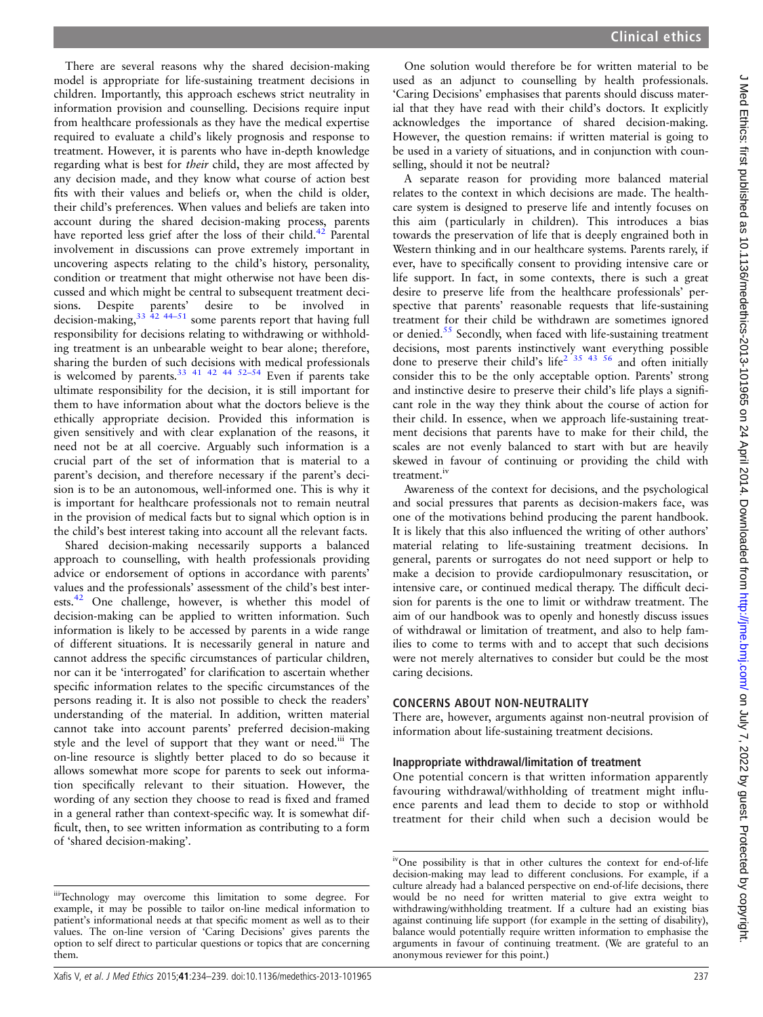There are several reasons why the shared decision-making model is appropriate for life-sustaining treatment decisions in children. Importantly, this approach eschews strict neutrality in information provision and counselling. Decisions require input from healthcare professionals as they have the medical expertise required to evaluate a child's likely prognosis and response to treatment. However, it is parents who have in-depth knowledge regarding what is best for their child, they are most affected by any decision made, and they know what course of action best fits with their values and beliefs or, when the child is older, their child's preferences. When values and beliefs are taken into account during the shared decision-making process, parents have reported less grief after the loss of their child.<sup>[42](#page-5-0)</sup> Parental involvement in discussions can prove extremely important in uncovering aspects relating to the child's history, personality, condition or treatment that might otherwise not have been discussed and which might be central to subsequent treatment decisions. Despite parents' desire to be involved in decision-making,  $33 \frac{42}{44}$  +4-[51](#page-5-0) some parents report that having full responsibility for decisions relating to withdrawing or withholding treatment is an unbearable weight to bear alone; therefore, sharing the burden of such decisions with medical professionals is welcomed by parents.<sup>33 41 42 44 52–54</sup> Even if parents take ultimate responsibility for the decision, it is still important for them to have information about what the doctors believe is the ethically appropriate decision. Provided this information is given sensitively and with clear explanation of the reasons, it need not be at all coercive. Arguably such information is a crucial part of the set of information that is material to a parent's decision, and therefore necessary if the parent's decision is to be an autonomous, well-informed one. This is why it is important for healthcare professionals not to remain neutral in the provision of medical facts but to signal which option is in the child's best interest taking into account all the relevant facts.

Shared decision-making necessarily supports a balanced approach to counselling, with health professionals providing advice or endorsement of options in accordance with parents' values and the professionals' assessment of the child's best inter-ests.<sup>[42](#page-5-0)</sup> One challenge, however, is whether this model of decision-making can be applied to written information. Such information is likely to be accessed by parents in a wide range of different situations. It is necessarily general in nature and cannot address the specific circumstances of particular children, nor can it be 'interrogated' for clarification to ascertain whether specific information relates to the specific circumstances of the persons reading it. It is also not possible to check the readers' understanding of the material. In addition, written material cannot take into account parents' preferred decision-making style and the level of support that they want or need.<sup>iii</sup> The on-line resource is slightly better placed to do so because it allows somewhat more scope for parents to seek out information specifically relevant to their situation. However, the wording of any section they choose to read is fixed and framed in a general rather than context-specific way. It is somewhat difficult, then, to see written information as contributing to a form of 'shared decision-making'.

One solution would therefore be for written material to be used as an adjunct to counselling by health professionals. 'Caring Decisions' emphasises that parents should discuss material that they have read with their child's doctors. It explicitly acknowledges the importance of shared decision-making. However, the question remains: if written material is going to be used in a variety of situations, and in conjunction with counselling, should it not be neutral?

A separate reason for providing more balanced material relates to the context in which decisions are made. The healthcare system is designed to preserve life and intently focuses on this aim (particularly in children). This introduces a bias towards the preservation of life that is deeply engrained both in Western thinking and in our healthcare systems. Parents rarely, if ever, have to specifically consent to providing intensive care or life support. In fact, in some contexts, there is such a great desire to preserve life from the healthcare professionals' perspective that parents' reasonable requests that life-sustaining treatment for their child be withdrawn are sometimes ignored or denied.<sup>[55](#page-5-0)</sup> Secondly, when faced with life-sustaining treatment decisions, most parents instinctively want everything possible done to preserve their child's life<sup>[2](#page-4-0)</sup>  $35\frac{43}{56}$  and often initially consider this to be the only acceptable option. Parents' strong and instinctive desire to preserve their child's life plays a significant role in the way they think about the course of action for their child. In essence, when we approach life-sustaining treatment decisions that parents have to make for their child, the scales are not evenly balanced to start with but are heavily skewed in favour of continuing or providing the child with treatment.<sup>iv</sup>

Awareness of the context for decisions, and the psychological and social pressures that parents as decision-makers face, was one of the motivations behind producing the parent handbook. It is likely that this also influenced the writing of other authors' material relating to life-sustaining treatment decisions. In general, parents or surrogates do not need support or help to make a decision to provide cardiopulmonary resuscitation, or intensive care, or continued medical therapy. The difficult decision for parents is the one to limit or withdraw treatment. The aim of our handbook was to openly and honestly discuss issues of withdrawal or limitation of treatment, and also to help families to come to terms with and to accept that such decisions were not merely alternatives to consider but could be the most caring decisions.

# CONCERNS ABOUT NON-NEUTRALITY

There are, however, arguments against non-neutral provision of information about life-sustaining treatment decisions.

# Inappropriate withdrawal/limitation of treatment

One potential concern is that written information apparently favouring withdrawal/withholding of treatment might influence parents and lead them to decide to stop or withhold treatment for their child when such a decision would be

iiiTechnology may overcome this limitation to some degree. For example, it may be possible to tailor on-line medical information to patient's informational needs at that specific moment as well as to their values. The on-line version of 'Caring Decisions' gives parents the option to self direct to particular questions or topics that are concerning them.

ivOne possibility is that in other cultures the context for end-of-life decision-making may lead to different conclusions. For example, if a culture already had a balanced perspective on end-of-life decisions, there would be no need for written material to give extra weight to withdrawing/withholding treatment. If a culture had an existing bias against continuing life support (for example in the setting of disability), balance would potentially require written information to emphasise the arguments in favour of continuing treatment. (We are grateful to an anonymous reviewer for this point.)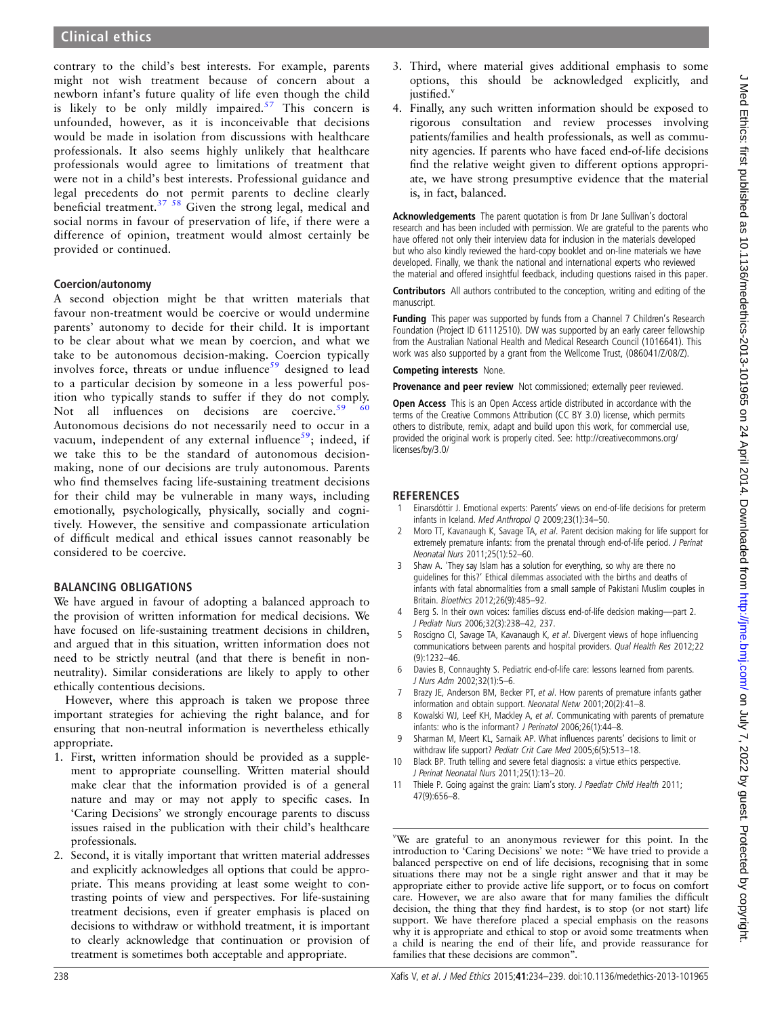<span id="page-4-0"></span>contrary to the child's best interests. For example, parents might not wish treatment because of concern about a newborn infant's future quality of life even though the child is likely to be only mildly impaired.<sup>[57](#page-5-0)</sup> This concern is unfounded, however, as it is inconceivable that decisions would be made in isolation from discussions with healthcare professionals. It also seems highly unlikely that healthcare professionals would agree to limitations of treatment that were not in a child's best interests. Professional guidance and legal precedents do not permit parents to decline clearly beneficial treatment.<sup>[37 58](#page-5-0)</sup> Given the strong legal, medical and social norms in favour of preservation of life, if there were a difference of opinion, treatment would almost certainly be provided or continued.

#### Coercion/autonomy

A second objection might be that written materials that favour non-treatment would be coercive or would undermine parents' autonomy to decide for their child. It is important to be clear about what we mean by coercion, and what we take to be autonomous decision-making. Coercion typically involves force, threats or undue influence $59$  designed to lead to a particular decision by someone in a less powerful position who typically stands to suffer if they do not comply. Not all influences on decisions are coercive.<sup>59</sup> Autonomous decisions do not necessarily need to occur in a vacuum, independent of any external influence $59$ ; indeed, if we take this to be the standard of autonomous decisionmaking, none of our decisions are truly autonomous. Parents who find themselves facing life-sustaining treatment decisions for their child may be vulnerable in many ways, including emotionally, psychologically, physically, socially and cognitively. However, the sensitive and compassionate articulation of difficult medical and ethical issues cannot reasonably be considered to be coercive.

# BALANCING OBLIGATIONS

We have argued in favour of adopting a balanced approach to the provision of written information for medical decisions. We have focused on life-sustaining treatment decisions in children, and argued that in this situation, written information does not need to be strictly neutral (and that there is benefit in nonneutrality). Similar considerations are likely to apply to other ethically contentious decisions.

However, where this approach is taken we propose three important strategies for achieving the right balance, and for ensuring that non-neutral information is nevertheless ethically appropriate.

- 1. First, written information should be provided as a supplement to appropriate counselling. Written material should make clear that the information provided is of a general nature and may or may not apply to specific cases. In 'Caring Decisions' we strongly encourage parents to discuss issues raised in the publication with their child's healthcare professionals.
- 2. Second, it is vitally important that written material addresses and explicitly acknowledges all options that could be appropriate. This means providing at least some weight to contrasting points of view and perspectives. For life-sustaining treatment decisions, even if greater emphasis is placed on decisions to withdraw or withhold treatment, it is important to clearly acknowledge that continuation or provision of treatment is sometimes both acceptable and appropriate.
- 3. Third, where material gives additional emphasis to some options, this should be acknowledged explicitly, and justified.
- 4. Finally, any such written information should be exposed to rigorous consultation and review processes involving patients/families and health professionals, as well as community agencies. If parents who have faced end-of-life decisions find the relative weight given to different options appropriate, we have strong presumptive evidence that the material is, in fact, balanced.

Acknowledgements The parent quotation is from Dr Jane Sullivan's doctoral research and has been included with permission. We are grateful to the parents who have offered not only their interview data for inclusion in the materials developed but who also kindly reviewed the hard-copy booklet and on-line materials we have developed. Finally, we thank the national and international experts who reviewed the material and offered insightful feedback, including questions raised in this paper.

Contributors All authors contributed to the conception, writing and editing of the manuscript.

Funding This paper was supported by funds from a Channel 7 Children's Research Foundation (Project ID 61112510). DW was supported by an early career fellowship from the Australian National Health and Medical Research Council (1016641). This work was also supported by a grant from the Wellcome Trust, (086041/Z/08/Z).

#### Competing interests None.

Provenance and peer review Not commissioned; externally peer reviewed.

Open Access This is an Open Access article distributed in accordance with the terms of the Creative Commons Attribution (CC BY 3.0) license, which permits others to distribute, remix, adapt and build upon this work, for commercial use, provided the original work is properly cited. See: http://creativecommons.org/ licenses/by/3.0/

#### **REFERENCES**

- 1 Einarsdóttir J. Emotional experts: Parents' views on end-of-life decisions for preterm infants in Iceland. Med Anthropol Q 2009;23(1):34–50.
- 2 Moro TT, Kavanaugh K, Savage TA, et al. Parent decision making for life support for extremely premature infants: from the prenatal through end-of-life period. J Perinat Neonatal Nurs 2011;25(1):52–60.
- Shaw A. 'They say Islam has a solution for everything, so why are there no guidelines for this?' Ethical dilemmas associated with the births and deaths of infants with fatal abnormalities from a small sample of Pakistani Muslim couples in Britain. Bioethics 2012;26(9):485–92.
- 4 Berg S. In their own voices: families discuss end-of-life decision making—part 2. J Pediatr Nurs 2006;32(3):238–42, 237.
- 5 Roscigno CI, Savage TA, Kavanaugh K, et al. Divergent views of hope influencing communications between parents and hospital providers. Qual Health Res 2012;22 (9):1232–46.
- 6 Davies B, Connaughty S. Pediatric end-of-life care: lessons learned from parents. J Nurs Adm 2002;32(1):5–6.
- 7 Brazy JE, Anderson BM, Becker PT, et al. How parents of premature infants gather information and obtain support. Neonatal Netw 2001;20(2):41–8.
- 8 Kowalski WJ, Leef KH, Mackley A, et al. Communicating with parents of premature infants: who is the informant? J Perinatol 2006;26(1):44–8.
- 9 Sharman M, Meert KL, Sarnaik AP. What influences parents' decisions to limit or withdraw life support? Pediatr Crit Care Med 2005;6(5):513–18.
- 10 Black BP. Truth telling and severe fetal diagnosis: a virtue ethics perspective. J Perinat Neonatal Nurs 2011;25(1):13–20.
- 11 Thiele P. Going against the grain: Liam's story. J Paediatr Child Health 2011; 47(9):656–8.

v We are grateful to an anonymous reviewer for this point. In the introduction to 'Caring Decisions' we note: "We have tried to provide a balanced perspective on end of life decisions, recognising that in some situations there may not be a single right answer and that it may be appropriate either to provide active life support, or to focus on comfort care. However, we are also aware that for many families the difficult decision, the thing that they find hardest, is to stop (or not start) life support. We have therefore placed a special emphasis on the reasons why it is appropriate and ethical to stop or avoid some treatments when a child is nearing the end of their life, and provide reassurance for families that these decisions are common".